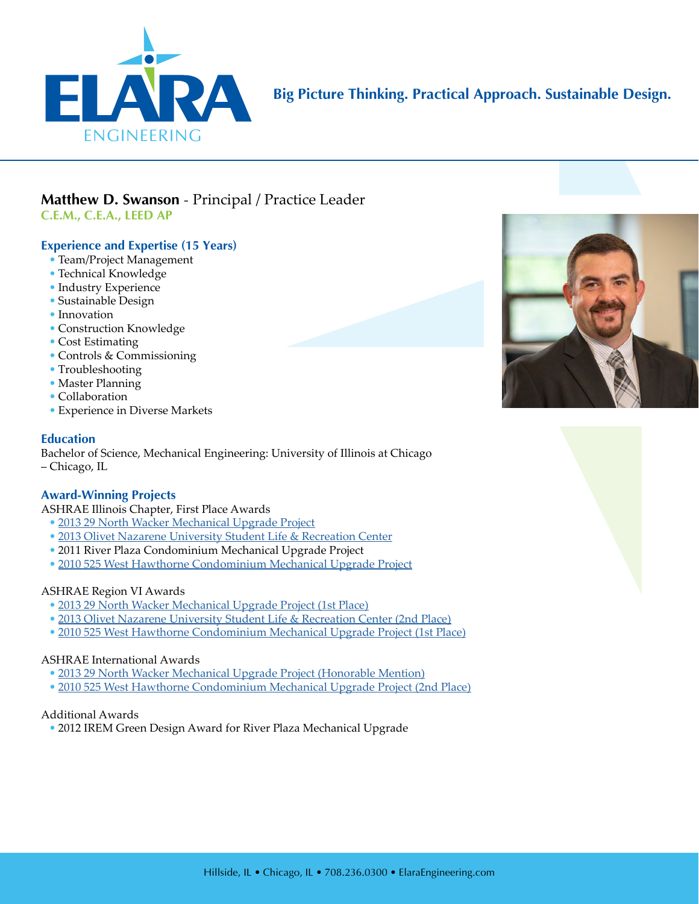

## **Big Picture Thinking. Practical Approach. Sustainable Design.**

# **Matthew D. Swanson** - Principal / Practice Leader

**C.E.M., C.E.A., LEED AP** 

### **Experience and Expertise (15 Years)**

- Team/Project Management
- Technical Knowledge
- Industry Experience
- Sustainable Design
- Innovation
- Construction Knowledge
- Cost Estimating
- Controls & Commissioning
- Troubleshooting
- Master Planning
- Collaboration
- Experience in Diverse Markets

### **Education**

Bachelor of Science, Mechanical Engineering: University of Illinois at Chicago – Chicago, IL

### **Award-Winning Projects**

ASHRAE Illinois Chapter, First Place Awards

- [2013 29 North Wacker Mechanical Upgrade Project](http://www.elaraeng.com/wp-content/uploads/2018/04/Elara-Project-29-North-Wacker.pdf)
- [2013 Olivet Nazarene University Student Life & Recreation Center](http://www.elaraeng.com/wp-content/uploads/2017/04/Elara-Project-ONU-Student-Center.pdf)
- 2011 River Plaza Condominium Mechanical Upgrade Project
- [2010 525 West Hawthorne Condominium Mechanical Upgrade Project](http://www.elaraeng.com/wp-content/uploads/2017/04/Elara-Project-525-Hawthorne.pdf)

### ASHRAE Region VI Awards

- [2013 29 North Wacker Mechanical Upgrade Project \(1st Place\)](http://www.elaraeng.com/wp-content/uploads/2018/04/Elara-Project-29-North-Wacker.pdf)
- [2013 Olivet Nazarene University Student Life & Recreation Center \(2nd Place\)](http://www.elaraeng.com/wp-content/uploads/2017/04/Elara-Project-ONU-Student-Center.pdf)
- [2010 525 West Hawthorne Condominium Mechanical Upgrade Project \(1st Place\)](http://www.elaraeng.com/wp-content/uploads/2017/04/Elara-Project-525-Hawthorne.pdf)

### ASHRAE International Awards

- [2013 29 North Wacker Mechanical Upgrade Project \(Honorable Mention\)](http://www.elaraeng.com/wp-content/uploads/2018/04/Elara-Project-29-North-Wacker.pdf)
- [2010 525 West Hawthorne Condominium Mechanical Upgrade Project \(2nd Place\)](http://www.elaraeng.com/wp-content/uploads/2017/04/Elara-Project-525-Hawthorne.pdf)

### Additional Awards

• 2012 IREM Green Design Award for River Plaza Mechanical Upgrade